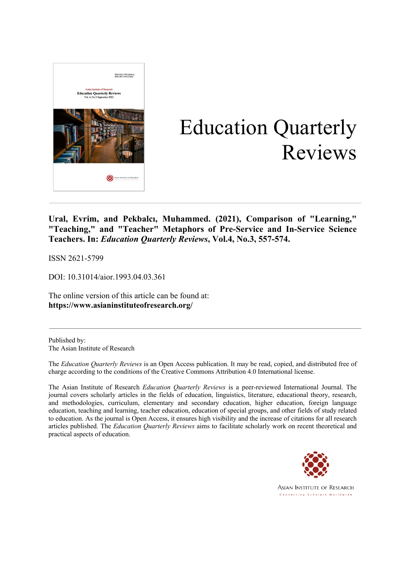

# Education Quarterly Reviews

**Ural, Evrim, and Pekbalcı, Muhammed. (2021), Comparison of "Learning," "Teaching," and "Teacher" Metaphors of Pre-Service and In-Service Science Teachers. In:** *Education Quarterly Reviews***, Vol.4, No.3, 557-574.**

ISSN 2621-5799

DOI: 10.31014/aior.1993.04.03.361

The online version of this article can be found at: **https://www.asianinstituteofresearch.org/**

Published by: The Asian Institute of Research

The *Education Quarterly Reviews* is an Open Access publication. It may be read, copied, and distributed free of charge according to the conditions of the Creative Commons Attribution 4.0 International license.

The Asian Institute of Research *Education Quarterly Reviews* is a peer-reviewed International Journal. The journal covers scholarly articles in the fields of education, linguistics, literature, educational theory, research, and methodologies, curriculum, elementary and secondary education, higher education, foreign language education, teaching and learning, teacher education, education of special groups, and other fields of study related to education. As the journal is Open Access, it ensures high visibility and the increase of citations for all research articles published. The *Education Quarterly Reviews* aims to facilitate scholarly work on recent theoretical and practical aspects of education.



**ASIAN INSTITUTE OF RESEARCH** Connecting Scholars Worldwide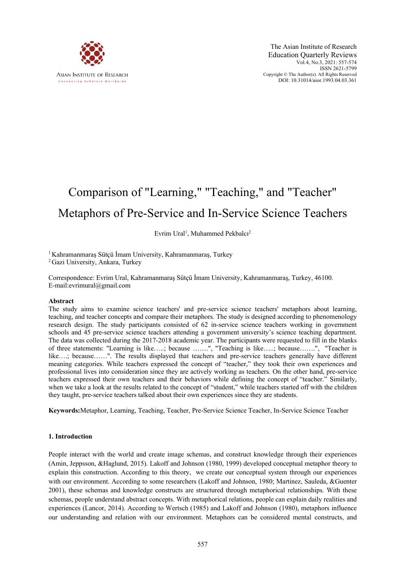

The Asian Institute of Research Education Quarterly Reviews Vol.4, No.3, 2021: 557-574 ISSN 2621-5799 Copyright © The Author(s). All Rights Reserved DOI: 10.31014/aior.1993.04.03.361

# Comparison of "Learning," "Teaching," and "Teacher" Metaphors of Pre-Service and In-Service Science Teachers

# Evrim Ural<sup>1</sup>, Muhammed Pekbalcı<sup>2</sup>

<sup>1</sup> Kahramanmaraş Sütçü İmam University, Kahramanmaraş, Turkey

<sup>2</sup> Gazi University, Ankara, Turkey

Correspondence: Evrim Ural, Kahramanmaraş Sütçü İmam University, Kahramanmaraş, Turkey, 46100. E-mail:evrimural@gmail.com

#### **Abstract**

The study aims to examine science teachers' and pre-service science teachers' metaphors about learning, teaching, and teacher concepts and compare their metaphors. The study is designed according to phenomenology research design. The study participants consisted of 62 in-service science teachers working in government schools and 45 pre-service science teachers attending a government university's science teaching department. The data was collected during the 2017-2018 academic year. The participants were requested to fill in the blanks of three statements: "Learning is like…..; because …….", "Teaching is like…..; because…….", "Teacher is like….; because……". The results displayed that teachers and pre-service teachers generally have different meaning categories. While teachers expressed the concept of "teacher," they took their own experiences and professional lives into consideration since they are actively working as teachers. On the other hand, pre-service teachers expressed their own teachers and their behaviors while defining the concept of "teacher." Similarly, when we take a look at the results related to the concept of "student," while teachers started off with the children they taught, pre-service teachers talked about their own experiences since they are students.

**Keywords:**Metaphor, Learning, Teaching, Teacher, Pre-Service Science Teacher, In-Service Science Teacher

#### **1. Introduction**

People interact with the world and create image schemas, and construct knowledge through their experiences (Amin, Jeppsson, &Haglund, 2015). Lakoff and Johnson (1980, 1999) developed conceptual metaphor theory to explain this construction. According to this theory, we create our conceptual system through our experiences with our environment. According to some researchers (Lakoff and Johnson, 1980; Martinez, Sauleda, &Guenter 2001), these schemas and knowledge constructs are structured through metaphorical relationships. With these schemas, people understand abstract concepts. With metaphorical relations, people can explain daily realities and experiences (Lancor, 2014). According to Wertsch (1985) and Lakoff and Johnson (1980), metaphors influence our understanding and relation with our environment. Metaphors can be considered mental constructs, and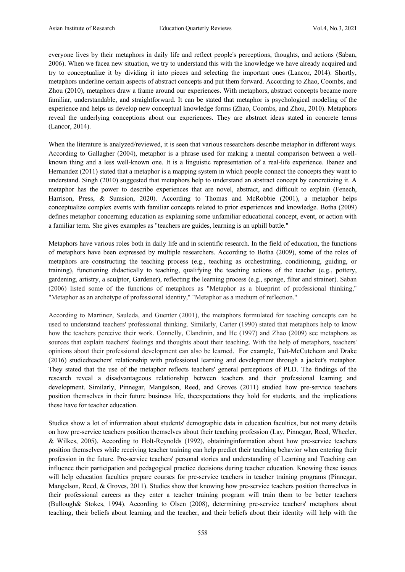everyone lives by their metaphors in daily life and reflect people's perceptions, thoughts, and actions (Saban, 2006). When we facea new situation, we try to understand this with the knowledge we have already acquired and try to conceptualize it by dividing it into pieces and selecting the important ones (Lancor, 2014). Shortly, metaphors underline certain aspects of abstract concepts and put them forward. According to Zhao, Coombs, and Zhou (2010), metaphors draw a frame around our experiences. With metaphors, abstract concepts became more familiar, understandable, and straightforward. It can be stated that metaphor is psychological modeling of the experience and helps us develop new conceptual knowledge forms (Zhao, Coombs, and Zhou, 2010). Metaphors reveal the underlying conceptions about our experiences. They are abstract ideas stated in concrete terms (Lancor, 2014).

When the literature is analyzed/reviewed, it is seen that various researchers describe metaphor in different ways. According to Gallagher (2004), metaphor is a phrase used for making a mental comparison between a wellknown thing and a less well-known one. It is a linguistic representation of a real-life experience. Ibanez and Hernandez (2011) stated that a metaphor is a mapping system in which people connect the concepts they want to understand. Singh (2010) suggested that metaphors help to understand an abstract concept by concretizing it. A metaphor has the power to describe experiences that are novel, abstract, and difficult to explain (Fenech, Harrison, Press, & Sumsion, 2020). According to Thomas and McRobbie (2001), a metaphor helps conceptualize complex events with familiar concepts related to prior experiences and knowledge. Botha (2009) defines metaphor concerning education as explaining some unfamiliar educational concept, event, or action with a familiar term. She gives examples as "teachers are guides, learning is an uphill battle."

Metaphors have various roles both in daily life and in scientific research. In the field of education, the functions of metaphors have been expressed by multiple researchers. According to Botha (2009), some of the roles of metaphors are constructing the teaching process (e.g., teaching as orchestrating, conditioning, guiding, or training), functioning didactically to teaching, qualifying the teaching actions of the teacher (e.g., pottery, gardening, artistry, a sculptor, Gardener), reflecting the learning process (e.g., sponge, filter and strainer). Saban (2006) listed some of the functions of metaphors as "Metaphor as a blueprint of professional thinking," "Metaphor as an archetype of professional identity," "Metaphor as a medium of reflection."

According to Martinez, Sauleda, and Guenter (2001), the metaphors formulated for teaching concepts can be used to understand teachers' professional thinking. Similarly, Carter (1990) stated that metaphors help to know how the teachers perceive their work. Connelly, Clandinin, and He (1997) and Zhao (2009) see metaphors as sources that explain teachers' feelings and thoughts about their teaching. With the help of metaphors, teachers' opinions about their professional development can also be learned. For example, Tait-McCutcheon and Drake (2016) studiedteachers' relationship with professional learning and development through a jacket's metaphor. They stated that the use of the metaphor reflects teachers' general perceptions of PLD. The findings of the research reveal a disadvantageous relationship between teachers and their professional learning and development. Similarly, Pinnegar, Mangelson, Reed, and Groves (2011) studied how pre-service teachers position themselves in their future business life, theexpectations they hold for students, and the implications these have for teacher education.

Studies show a lot of information about students' demographic data in education faculties, but not many details on how pre-service teachers position themselves about their teaching profession (Lay, Pinnegar, Reed, Wheeler, & Wilkes, 2005). According to Holt-Reynolds (1992), obtaininginformation about how pre-service teachers position themselves while receiving teacher training can help predict their teaching behavior when entering their profession in the future. Pre-service teachers' personal stories and understanding of Learning and Teaching can influence their participation and pedagogical practice decisions during teacher education. Knowing these issues will help education faculties prepare courses for pre-service teachers in teacher training programs (Pinnegar, Mangelson, Reed, & Groves, 2011). Studies show that knowing how pre-service teachers position themselves in their professional careers as they enter a teacher training program will train them to be better teachers (Bullough& Stokes, 1994). According to Olsen (2008), determining pre-service teachers' metaphors about teaching, their beliefs about learning and the teacher, and their beliefs about their identity will help with the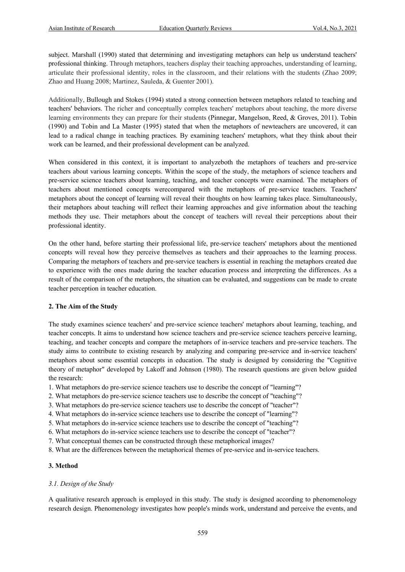subject. Marshall (1990) stated that determining and investigating metaphors can help us understand teachers' professional thinking. Through metaphors, teachers display their teaching approaches, understanding of learning, articulate their professional identity, roles in the classroom, and their relations with the students (Zhao 2009; Zhao and Huang 2008; Martinez, Sauleda, & Guenter 2001).

Additionally, Bullough and Stokes (1994) stated a strong connection between metaphors related to teaching and teachers' behaviors. The richer and conceptually complex teachers' metaphors about teaching, the more diverse learning environments they can prepare for their students (Pinnegar, Mangelson, Reed, & Groves, 2011). Tobin (1990) and Tobin and La Master (1995) stated that when the metaphors of newteachers are uncovered, it can lead to a radical change in teaching practices. By examining teachers' metaphors, what they think about their work can be learned, and their professional development can be analyzed.

When considered in this context, it is important to analyzeboth the metaphors of teachers and pre-service teachers about various learning concepts. Within the scope of the study, the metaphors of science teachers and pre-service science teachers about learning, teaching, and teacher concepts were examined. The metaphors of teachers about mentioned concepts werecompared with the metaphors of pre-service teachers. Teachers' metaphors about the concept of learning will reveal their thoughts on how learning takes place. Simultaneously, their metaphors about teaching will reflect their learning approaches and give information about the teaching methods they use. Their metaphors about the concept of teachers will reveal their perceptions about their professional identity.

On the other hand, before starting their professional life, pre-service teachers' metaphors about the mentioned concepts will reveal how they perceive themselves as teachers and their approaches to the learning process. Comparing the metaphors of teachers and pre-service teachers is essential in reaching the metaphors created due to experience with the ones made during the teacher education process and interpreting the differences. As a result of the comparison of the metaphors, the situation can be evaluated, and suggestions can be made to create teacher perception in teacher education.

# **2. The Aim of the Study**

The study examines science teachers' and pre-service science teachers' metaphors about learning, teaching, and teacher concepts. It aims to understand how science teachers and pre-service science teachers perceive learning, teaching, and teacher concepts and compare the metaphors of in-service teachers and pre-service teachers. The study aims to contribute to existing research by analyzing and comparing pre-service and in-service teachers' metaphors about some essential concepts in education. The study is designed by considering the "Cognitive theory of metaphor" developed by Lakoff and Johnson (1980). The research questions are given below guided the research:

1. What metaphors do pre-service science teachers use to describe the concept of "learning"?

- 2. What metaphors do pre-service science teachers use to describe the concept of "teaching"?
- 3. What metaphors do pre-service science teachers use to describe the concept of "teacher"?
- 4. What metaphors do in-service science teachers use to describe the concept of "learning"?
- 5. What metaphors do in-service science teachers use to describe the concept of "teaching"?
- 6. What metaphors do in-service science teachers use to describe the concept of "teacher"?

7. What conceptual themes can be constructed through these metaphorical images?

8. What are the differences between the metaphorical themes of pre-service and in-service teachers.

#### **3. Method**

# *3.1. Design of the Study*

A qualitative research approach is employed in this study. The study is designed according to phenomenology research design. Phenomenology investigates how people's minds work, understand and perceive the events, and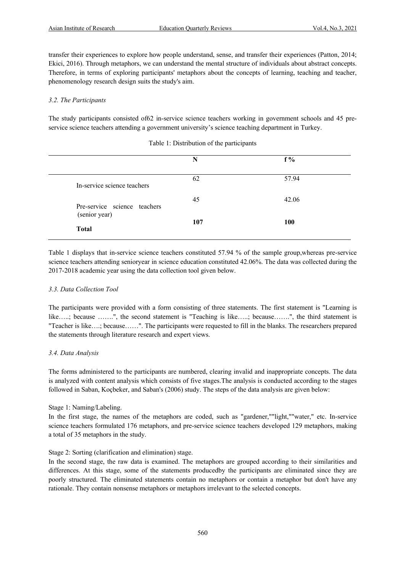transfer their experiences to explore how people understand, sense, and transfer their experiences (Patton, 2014; Ekici, 2016). Through metaphors, we can understand the mental structure of individuals about abstract concepts. Therefore, in terms of exploring participants' metaphors about the concepts of learning, teaching and teacher, phenomenology research design suits the study's aim.

### *3.2. The Participants*

The study participants consisted of62 in-service science teachers working in government schools and 45 preservice science teachers attending a government university's science teaching department in Turkey.

|                              | N   | $f\%$      |  |
|------------------------------|-----|------------|--|
| In-service science teachers  | 62  | 57.94      |  |
| Pre-service science teachers | 45  | 42.06      |  |
| (senior year)                | 107 | <b>100</b> |  |
| <b>Total</b>                 |     |            |  |

#### Table 1: Distribution of the participants

Table 1 displays that in-service science teachers constituted 57.94 % of the sample group,whereas pre-service science teachers attending senioryear in science education constituted 42.06%. The data was collected during the 2017-2018 academic year using the data collection tool given below.

#### *3.3. Data Collection Tool*

The participants were provided with a form consisting of three statements. The first statement is "Learning is like…..; because …….", the second statement is "Teaching is like…..; because…….", the third statement is "Teacher is like….; because……". The participants were requested to fill in the blanks. The researchers prepared the statements through literature research and expert views.

#### *3.4. Data Analysis*

The forms administered to the participants are numbered, clearing invalid and inappropriate concepts. The data is analyzed with content analysis which consists of five stages.The analysis is conducted according to the stages followed in Saban, Koçbeker, and Saban's (2006) study. The steps of the data analysis are given below:

# Stage 1: Naming/Labeling.

In the first stage, the names of the metaphors are coded, such as "gardener,""light,""water," etc. In-service science teachers formulated 176 metaphors, and pre-service science teachers developed 129 metaphors, making a total of 35 metaphors in the study.

# Stage 2: Sorting (clarification and elimination) stage.

In the second stage, the raw data is examined. The metaphors are grouped according to their similarities and differences. At this stage, some of the statements producedby the participants are eliminated since they are poorly structured. The eliminated statements contain no metaphors or contain a metaphor but don't have any rationale. They contain nonsense metaphors or metaphors irrelevant to the selected concepts.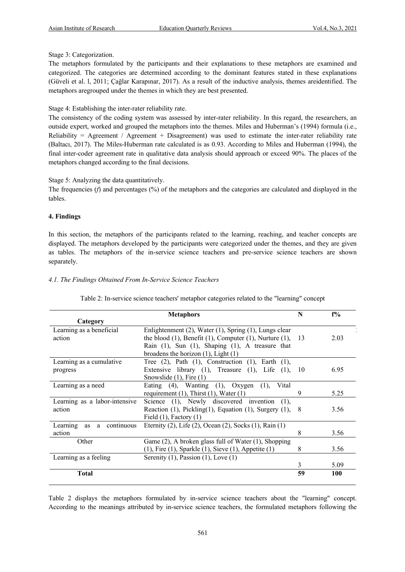Stage 3: Categorization.

The metaphors formulated by the participants and their explanations to these metaphors are examined and categorized. The categories are determined according to the dominant features stated in these explanations (Güveli et al. l, 2011; Çağlar Karapınar, 2017). As a result of the inductive analysis, themes areidentified. The metaphors aregrouped under the themes in which they are best presented.

Stage 4: Establishing the inter-rater reliability rate.

The consistency of the coding system was assessed by inter-rater reliability. In this regard, the researchers, an outside expert, worked and grouped the metaphors into the themes. Miles and Huberman's (1994) formula (i.e., Reliability = Agreement / Agreement + Disagreement) was used to estimate the inter-rater reliability rate (Baltacı, 2017). The Miles-Huberman rate calculated is as 0.93. According to Miles and Huberman (1994), the final inter-coder agreement rate in qualitative data analysis should approach or exceed 90%. The places of the metaphors changed according to the final decisions.

Stage 5: Analyzing the data quantitatively.

The frequencies (*f*) and percentages (%) of the metaphors and the categories are calculated and displayed in the tables.

#### **4. Findings**

In this section, the metaphors of the participants related to the learning, reaching, and teacher concepts are displayed. The metaphors developed by the participants were categorized under the themes, and they are given as tables. The metaphors of the in-service science teachers and pre-service science teachers are shown separately.

# *4.1. The Findings Obtained From In-Service Science Teachers*

|                                | <b>Metaphors</b>                                                                                     | N   | $f\%$ |
|--------------------------------|------------------------------------------------------------------------------------------------------|-----|-------|
| Category                       |                                                                                                      |     |       |
| Learning as a beneficial       | Enlightenment (2), Water (1), Spring (1), Lungs clear                                                |     |       |
| action                         | the blood $(1)$ , Benefit $(1)$ , Computer $(1)$ , Nurture $(1)$ , 13                                |     | 2.03  |
|                                | Rain $(1)$ , Sun $(1)$ , Shaping $(1)$ , A treasure that<br>broadens the horizon $(1)$ , Light $(1)$ |     |       |
| Learning as a cumulative       | Tree $(2)$ , Path $(1)$ , Construction $(1)$ , Earth $(1)$ ,                                         |     |       |
| progress                       | Extensive library $(1)$ , Treasure $(1)$ , Life $(1)$ ,                                              | 10  | 6.95  |
|                                | Snowslide $(1)$ , Fire $(1)$                                                                         |     |       |
| Learning as a need             | Eating (4), Wanting (1), Oxygen (1), Vital                                                           |     |       |
|                                | requirement $(1)$ , Thirst $(1)$ , Water $(1)$                                                       | 9   | 5.25  |
| Learning as a labor-intensive  | Science (1), Newly discovered invention (1),                                                         |     |       |
| action                         | Reaction $(1)$ , Pickling $(1)$ , Equation $(1)$ , Surgery $(1)$ ,                                   | - 8 | 3.56  |
|                                | Field $(1)$ , Factory $(1)$                                                                          |     |       |
| a continuous<br>Learning<br>as | Eternity (2), Life (2), Ocean (2), Socks (1), Rain (1)                                               |     |       |
| action                         |                                                                                                      | 8   | 3.56  |
| Other                          | Game (2), A broken glass full of Water (1), Shopping                                                 |     |       |
|                                | $(1)$ , Fire $(1)$ , Sparkle $(1)$ , Sieve $(1)$ , Appetite $(1)$                                    | 8   | 3.56  |
| Learning as a feeling          | Serenity $(1)$ , Passion $(1)$ , Love $(1)$                                                          |     |       |
|                                |                                                                                                      | 3   | 5.09  |
| <b>Total</b>                   |                                                                                                      | 59  | 100   |
|                                |                                                                                                      |     |       |

Table 2: In-service science teachers' metaphor categories related to the "learning" concept

Table 2 displays the metaphors formulated by in-service science teachers about the "learning" concept. According to the meanings attributed by in-service science teachers, the formulated metaphors following the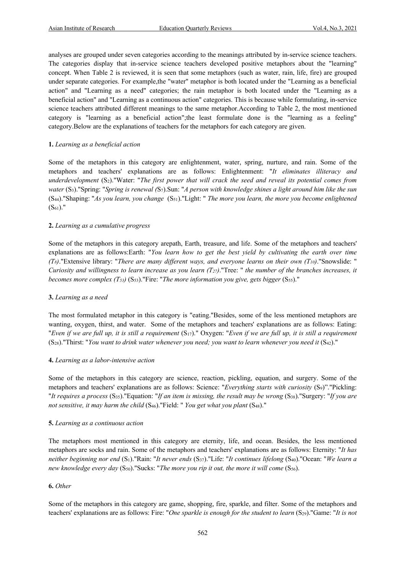analyses are grouped under seven categories according to the meanings attributed by in-service science teachers. The categories display that in-service science teachers developed positive metaphors about the "learning" concept. When Table 2 is reviewed, it is seen that some metaphors (such as water, rain, life, fire) are grouped under separate categories. For example,the "water" metaphor is both located under the "Learning as a beneficial action" and "Learning as a need" categories; the rain metaphor is both located under the "Learning as a beneficial action" and "Learning as a continuous action" categories. This is because while formulating, in-service science teachers attributed different meanings to the same metaphor.According to Table 2, the most mentioned category is "learning as a beneficial action";the least formulate done is the "learning as a feeling" category.Below are the explanations of teachers for the metaphors for each category are given.

#### **1.** *Learning as a beneficial action*

Some of the metaphors in this category are enlightenment, water, spring, nurture, and rain. Some of the metaphors and teachers' explanations are as follows: Enlightenment: "*It eliminates illiteracy and underdevelopment* (S2)."Water: "*The first power that will crack the seed and reveal its potential comes from water* (S3)."Spring: "*Spring is renewal (*S7).Sun: "*A person with knowledge shines a light around him like the sun* (S44)."Shaping: "*As you learn, you change* (S51)."Light: " *The more you learn, the more you become enlightened*   $(S_{61})$ ."

# **2.** *Learning as a cumulative progress*

Some of the metaphors in this category arepath, Earth, treasure, and life. Some of the metaphors and teachers' explanations are as follows:Earth: "*You learn how to get the best yield by cultivating the earth over time*   $(T_8)$ ."Extensive library: "*There are many different ways, and everyone learns on their own*  $(T_{10})$ *."Snowslide: " Curiosity and willingness to learn increase as you learn (T27)*."Tree: " *the number of the branches increases, it becomes more complex (T53)* (S53)."Fire: "*The more information you give, gets bigger* (S55)."

#### **3.** *Learning as a need*

The most formulated metaphor in this category is "eating."Besides, some of the less mentioned metaphors are wanting, oxygen, thirst, and water. Some of the metaphors and teachers' explanations are as follows: Eating: "*Even if we are full up, it is still a requirement* (S17)." Oxygen: "*Even if we are full up, it is still a requirement* (S28)."Thirst: "*You want to drink water whenever you need; you want to learn whenever you need it* (S42)."

#### **4.** *Learning as a labor-intensive action*

Some of the metaphors in this category are science, reaction, pickling, equation, and surgery. Some of the metaphors and teachers' explanations are as follows: Science: "*Everything starts with curiosity* (S9)"."Pickling: "*It requires a process* (S35)."Equation: "*If an item is missing, the result may be wrong* (S38)."Surgery: "*If you are not sensitive, it may harm the child* (S46)."Field: " *You get what you plant* (S48)."

#### **5.** *Learning as a continuous action*

The metaphors most mentioned in this category are eternity, life, and ocean. Besides, the less mentioned metaphors are socks and rain. Some of the metaphors and teachers' explanations are as follows: Eternity: "*It has neither beginning nor end* (S1)."Rain: "*It never ends* (S37)."Life: "*It continues lifelong* (S40)."Ocean: "*We learn a new knowledge every day* (S50)."Sucks: "*The more you rip it out, the more it will come* (S56).

#### **6.** *Other*

Some of the metaphors in this category are game, shopping, fire, sparkle, and filter. Some of the metaphors and teachers' explanations are as follows: Fire: "*One sparkle is enough for the student to learn* (S29)."Game: "*It is not*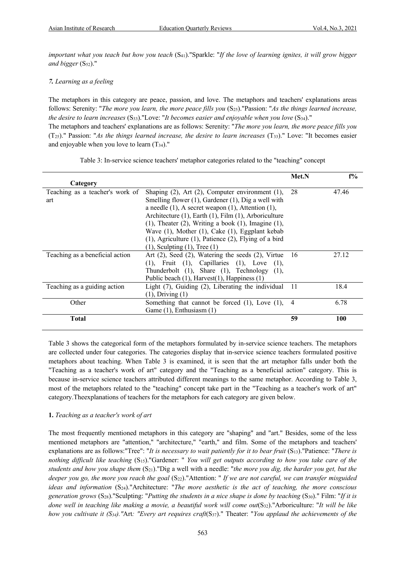*important what you teach but how you teach* (S41)."Sparkle: "*If the love of learning ignites, it will grow bigger*  and bigger (S<sub>52</sub>)."

# *7. Learning as a feeling*

The metaphors in this category are peace, passion, and love. The metaphors and teachers' explanations areas follows: Serenity: "*The more you learn, the more peace fills you* (S<sub>25</sub>)."Passion: "*As the things learned increase, the desire to learn increases* (S33)."Love: "*It becomes easier and enjoyable when you love* (S34)." The metaphors and teachers' explanations are as follows: Serenity: "*The more you learn, the more peace fills you* (T25)." Passion: "*As the things learned increase, the desire to learn increases* (T33)." Love: "It becomes easier and enjoyable when you love to learn  $(T_{34})$ ."

|                                 |                                                                | Met.N          | $f\%$ |
|---------------------------------|----------------------------------------------------------------|----------------|-------|
| Category                        |                                                                |                |       |
| Teaching as a teacher's work of | Shaping $(2)$ , Art $(2)$ , Computer environment $(1)$ ,       | 28             | 47.46 |
| art                             | Smelling flower $(1)$ , Gardener $(1)$ , Dig a well with       |                |       |
|                                 | a needle $(1)$ , A secret weapon $(1)$ , Attention $(1)$ ,     |                |       |
|                                 | Architecture (1), Earth (1), Film (1), Arboriculture           |                |       |
|                                 | $(1)$ , Theater $(2)$ , Writing a book $(1)$ , Imagine $(1)$ , |                |       |
|                                 | Wave (1), Mother (1), Cake (1), Eggplant kebab                 |                |       |
|                                 | $(1)$ , Agriculture $(1)$ , Patience $(2)$ , Flying of a bird  |                |       |
|                                 | $(1)$ , Sculpting $(1)$ , Tree $(1)$                           |                |       |
| Teaching as a beneficial action | Art $(2)$ , Seed $(2)$ , Watering the seeds $(2)$ , Virtue     | -16            | 27.12 |
|                                 | $(1)$ , Fruit $(1)$ , Capillaries $(1)$ , Love $(1)$ ,         |                |       |
|                                 | Thunderbolt (1), Share (1), Technology (1),                    |                |       |
|                                 | Public beach (1), Harvest(1), Happiness (1)                    |                |       |
| Teaching as a guiding action    | Light $(7)$ , Guiding $(2)$ , Liberating the individual        | -11            | 18.4  |
|                                 | $(1)$ , Driving $(1)$                                          |                |       |
| Other                           | Something that cannot be forced $(1)$ , Love $(1)$ ,           | $\overline{4}$ | 6.78  |
|                                 | Game $(1)$ , Enthusiasm $(1)$                                  |                |       |
| <b>Total</b>                    |                                                                | 59             | 100   |

Table 3: In-service science teachers' metaphor categories related to the "teaching" concept

Table 3 shows the categorical form of the metaphors formulated by in-service science teachers. The metaphors are collected under four categories. The categories display that in-service science teachers formulated positive metaphors about teaching. When Table 3 is examined, it is seen that the art metaphor falls under both the "Teaching as a teacher's work of art" category and the "Teaching as a beneficial action" category. This is because in-service science teachers attributed different meanings to the same metaphor. According to Table 3, most of the metaphors related to the "teaching" concept take part in the "Teaching as a teacher's work of art" category.Theexplanations of teachers for the metaphors for each category are given below.

# **1.** *Teaching as a teacher's work of art*

The most frequently mentioned metaphors in this category are "shaping" and "art." Besides, some of the less mentioned metaphors are "attention," "architecture," "earth," and film. Some of the metaphors and teachers' explanations are as follows:"Tree": "*It is necessary to wait patiently for it to bear fruit* (S<sub>13</sub>)."Patience: "*There is nothing difficult like teaching* (S15)."Gardener: " *You will get outputs according to how you take care of the students and how you shape them* (S21)."Dig a well with a needle: "*the more you dig, the harder you get, but the deeper you go, the more you reach the goal* (S<sub>22</sub>)."Attention: " If we are not careful, we can transfer misguided ideas and information (S<sub>24</sub>)."Architecture: "*The more aesthetic is the act of teaching, the more conscious generation grows* (S28)."Sculpting: "*Putting the students in a nice shape is done by teaching* (S30)." Film: "*If it is done well in teaching like making a movie, a beautiful work will come out*(S32)."Arboriculture: "*It will be like how you cultivate it (S34)."*Art*: "Every art requires craft*(S37)." Theater: "*You applaud the achievements of the*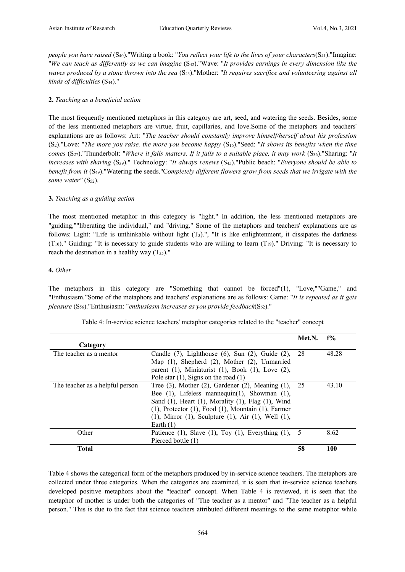*people you have raised* (S<sub>40</sub>)."Writing a book: "*You reflect your life to the lives of your characters*(S<sub>41</sub>)."Imagine: "*We can teach as differently as we can imagine* (S42)."Wave: "*It provides earnings in every dimension like the waves produced by a stone thrown into the sea* (S43)."Mother: "*It requires sacrifice and volunteering against all kinds of difficulties* (S44)."

# **2.** *Teaching as a beneficial action*

The most frequently mentioned metaphors in this category are art, seed, and watering the seeds. Besides, some of the less mentioned metaphors are virtue, fruit, capillaries, and love.Some of the metaphors and teachers' explanations are as follows: Art: "*The teacher should constantly improve himself/herself about his profession*  (S2)."Love: "*The more you raise, the more you become happy* (S16)."Seed: "*It shows its benefits when the time comes* (S27)."Thunderbolt: "*Where it falls matters. If it falls to a suitable place, it may work* (S36)."Sharing: "*It increases with sharing* (S39)." Technology: "*It always renews* (S45)."Public beach: "*Everyone should be able to benefit from it* (S49)."Watering the seeds."C*ompletely different flowers grow from seeds that we irrigate with the*  same water" (S<sub>52</sub>).

# **3.** *Teaching as a guiding action*

The most mentioned metaphor in this category is "light." In addition, the less mentioned metaphors are "guiding,""liberating the individual," and "driving." Some of the metaphors and teachers' explanations are as follows: Light: "Life is unthinkable without light  $(T_3)$ .", "It is like enlightenment, it dissipates the darkness  $(T_{10})$ ." Guiding: "It is necessary to guide students who are willing to learn  $(T_{19})$ ." Driving: "It is necessary to reach the destination in a healthy way  $(T_{35})$ ."

#### **4.** *Other*

The metaphors in this category are "Something that cannot be forced"(1), "Love,""Game," and "Enthusiasm."Some of the metaphors and teachers' explanations are as follows: Game: "*It is repeated as it gets pleasure* (S56)."Enthusiasm: "*enthusiasm increases as you provide feedback*(S62)."

|                                 |                                                                   | Met.N. | $f\%$ |
|---------------------------------|-------------------------------------------------------------------|--------|-------|
| Category                        |                                                                   |        |       |
| The teacher as a mentor         | Candle $(7)$ , Lighthouse $(6)$ , Sun $(2)$ , Guide $(2)$ ,       | 28     | 48.28 |
|                                 | Map (1), Shepherd (2), Mother (2), Unmarried                      |        |       |
|                                 | parent $(1)$ , Miniaturist $(1)$ , Book $(1)$ , Love $(2)$ ,      |        |       |
|                                 | Pole star $(1)$ , Signs on the road $(1)$                         |        |       |
| The teacher as a helpful person | Tree $(3)$ , Mother $(2)$ , Gardener $(2)$ , Meaning $(1)$ ,      | 25     | 43.10 |
|                                 | Bee $(1)$ , Lifeless mannequin $(1)$ , Showman $(1)$ ,            |        |       |
|                                 | Sand (1), Heart (1), Morality (1), Flag (1), Wind                 |        |       |
|                                 | $(1)$ , Protector $(1)$ , Food $(1)$ , Mountain $(1)$ , Farmer    |        |       |
|                                 | $(1)$ , Mirror $(1)$ , Sculpture $(1)$ , Air $(1)$ , Well $(1)$ , |        |       |
|                                 | Earth $(1)$                                                       |        |       |
| Other                           | Patience $(1)$ , Slave $(1)$ , Toy $(1)$ , Everything $(1)$ , 5   |        | 8.62  |
|                                 | Pierced bottle (1)                                                |        |       |
| <b>Total</b>                    |                                                                   | 58     | 100   |

Table 4: In-service science teachers' metaphor categories related to the "teacher" concept

Table 4 shows the categorical form of the metaphors produced by in-service science teachers. The metaphors are collected under three categories. When the categories are examined, it is seen that in-service science teachers developed positive metaphors about the "teacher" concept. When Table 4 is reviewed, it is seen that the metaphor of mother is under both the categories of "The teacher as a mentor" and "The teacher as a helpful person." This is due to the fact that science teachers attributed different meanings to the same metaphor while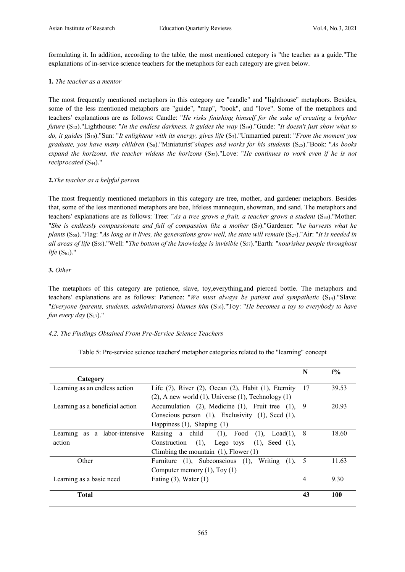formulating it. In addition, according to the table, the most mentioned category is "the teacher as a guide."The explanations of in-service science teachers for the metaphors for each category are given below.

# **1.** *The teacher as a mentor*

The most frequently mentioned metaphors in this category are "candle" and "lighthouse" metaphors. Besides, some of the less mentioned metaphors are "guide", "map", "book", and "love". Some of the metaphors and teachers' explanations are as follows: Candle: "*He risks finishing himself for the sake of creating a brighter future* (S12)."Lighthouse: "*In the endless darkness, it guides the way* (S39)."Guide: "*It doesn't just show what to do, it guides* (S10)."Sun: "*It enlightens with its energy, gives life* (S3)."Unmarried parent: "*From the moment you graduate, you have many children* (S8)."Miniaturist"*shapes and works for his students* (S25)."Book: "*As books expand the horizons, the teacher widens the horizons* (S32)."Love: "*He continues to work even if he is not reciprocated* (S44)."

# **2.***The teacher as a helpful person*

The most frequently mentioned metaphors in this category are tree, mother, and gardener metaphors. Besides that, some of the less mentioned metaphors are bee, lifeless mannequin, showman, and sand. The metaphors and teachers' explanations are as follows: Tree: "*As a tree grows a fruit, a teacher grows a student* (S<sub>33</sub>)."Mother: "*She is endlessly compassionate and full of compassion like a mother* (S9)."Gardener: "*he harvests what he plants* (S58)."Flag: "*As long as it lives, the generations grow well, the state will remain* (S27)."Air: "*It is needed in all areas of life* (S55)."Well: "*The bottom of the knowledge is invisible* (S57)."Earth: "*nourishes people throughout life* (S<sub>61</sub>)."

# **3.** *Other*

The metaphors of this category are patience, slave, toy,everything,and pierced bottle. The metaphors and teachers' explanations are as follows: Patience: "*We must always be patient and sympathetic* (S14)."Slave: "*Everyone (parents, students, administrators) blames him* (S16)."Toy: "*He becomes a toy to everybody to have fun every day* (S<sub>17</sub>)."

# *4.2. The Findings Obtained From Pre-Service Science Teachers*

Table 5: Pre-service science teachers' metaphor categories related to the "learning" concept

|                                     |                                                                 | N   | $f\%$ |
|-------------------------------------|-----------------------------------------------------------------|-----|-------|
| Category                            |                                                                 |     |       |
| Learning as an endless action       | Life $(7)$ , River $(2)$ , Ocean $(2)$ , Habit $(1)$ , Eternity | 17  | 39.53 |
|                                     | $(2)$ , A new world $(1)$ , Universe $(1)$ , Technology $(1)$   |     |       |
| Learning as a beneficial action     | Accumulation $(2)$ , Medicine $(1)$ , Fruit tree $(1)$ , 9      |     | 20.93 |
|                                     | Conscious person (1), Exclusivity (1), Seed (1),                |     |       |
|                                     | Happiness $(1)$ , Shaping $(1)$                                 |     |       |
| labor-intensive<br>Learning as<br>a | Raising a child<br>$(1)$ , Food<br>$Load(1)$ ,<br>(1)           | - 8 | 18.60 |
| action                              | $(1)$ , Lego toys $(1)$ , Seed $(1)$ ,<br>Construction          |     |       |
|                                     | Climbing the mountain $(1)$ , Flower $(1)$                      |     |       |
| Other                               | Furniture (1), Subconscious (1),<br>Writing<br>$(1)$ .          | - 5 | 11.63 |
|                                     | Computer memory $(1)$ , Toy $(1)$                               |     |       |
| Learning as a basic need            | Eating $(3)$ , Water $(1)$                                      | 4   | 9.30  |
|                                     |                                                                 |     |       |
| <b>Total</b>                        |                                                                 | 43  | 100   |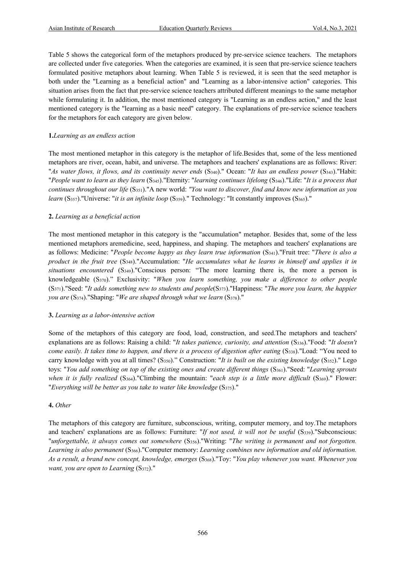Table 5 shows the categorical form of the metaphors produced by pre-service science teachers. The metaphors are collected under five categories. When the categories are examined, it is seen that pre-service science teachers formulated positive metaphors about learning. When Table 5 is reviewed, it is seen that the seed metaphor is both under the "Learning as a beneficial action" and "Learning as a labor-intensive action" categories. This situation arises from the fact that pre-service science teachers attributed different meanings to the same metaphor while formulating it. In addition, the most mentioned category is "Learning as an endless action," and the least mentioned category is the "learning as a basic need" category. The explanations of pre-service science teachers for the metaphors for each category are given below.

### **1.***Learning as an endless action*

The most mentioned metaphor in this category is the metaphor of life.Besides that, some of the less mentioned metaphors are river, ocean, habit, and universe. The metaphors and teachers' explanations are as follows: River: "*As water flows, it flows, and its continuity never ends* (S340)." Ocean: "*It has an endless power* (S343)."Habit: "*People want to learn as they learn* (S345)."Eternity: "*learning continues lifelong* (S346)."Life: "*It is a process that continues throughout our life* (S351)."A new world: *"You want to discover, find and know new information as you learn* (S<sub>357</sub>)."Universe: "*it is an infinite loop* (S<sub>359</sub>)." Technology: "It constantly improves (S<sub>365</sub>)."

# **2.** *Learning as a beneficial action*

The most mentioned metaphor in this category is the "accumulation" metaphor. Besides that, some of the less mentioned metaphors aremedicine, seed, happiness, and shaping. The metaphors and teachers' explanations are as follows: Medicine: "*People become happy as they learn true information* (S<sub>341</sub>)."Fruit tree: "*There is also a product in the fruit tree* (S348)."Accumulation: "*He accumulates what he learns in himself and applies it in situations encountered* (S349)."Conscious person: "The more learning there is, the more a person is knowledgeable (S370)." Exclusivity: "*When you learn something, you make a difference to other people*  (S371)."Seed: "*It adds something new to students and people*(S373)."Happiness: "*The more you learn, the happier you are* (S<sub>374</sub>)."Shaping: "*We are shaped through what we learn* (S<sub>378</sub>)."

#### **3.** *Learning as a labor-intensive action*

Some of the metaphors of this category are food, load, construction, and seed.The metaphors and teachers' explanations are as follows: Raising a child: "*It takes patience, curiosity, and attention* (S336)."Food: "*It doesn't come easily. It takes time to happen, and there is a process of digestion after eating* (S338)."Load: "You need to carry knowledge with you at all times? (S350)." Construction: "*It is built on the existing knowledge* (S352)." Lego toys: "*You add something on top of the existing ones and create different things* (S<sub>361</sub>)."Seed: "*Learning sprouts when it is fully realized* (S<sub>364</sub>)."Climbing the mountain: "*each step is a little more difficult* (S<sub>369</sub>)." Flower: "*Everything will be better as you take to water like knowledge* (S375)."

#### **4.** *Other*

The metaphors of this category are furniture, subconscious, writing, computer memory, and toy.The metaphors and teachers' explanations are as follows: Furniture: "*If not used, it will not be useful* (S<sub>339</sub>)."Subconscious: "*unforgettable, it always comes out somewhere* (S356)."Writing: "*The writing is permanent and not forgotten. Learning is also permanent* (S366)."Computer memory: *Learning combines new information and old information. As a result, a brand new concept, knowledge, emerges* (S368)."Toy: "*You play whenever you want. Whenever you want, you are open to Learning* (S372)."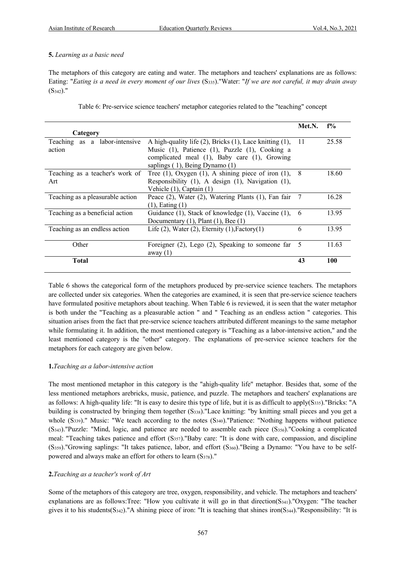# **5.** *Learning as a basic need*

The metaphors of this category are eating and water. The metaphors and teachers' explanations are as follows: Eating: "*Eating is a need in every moment of our lives* (S335)."Water: "*If we are not careful, it may drain away*   $(S_{342})$ ."

Table 6: Pre-service science teachers' metaphor categories related to the "teaching" concept

|          | __ | ___ | ___<br>$\overline{\phantom{0}}$ |       |
|----------|----|-----|---------------------------------|-------|
|          |    |     | Met.N.                          | $f\%$ |
| Category |    |     |                                 |       |
|          |    |     |                                 |       |

| Category                         |                                                                     |     |       |
|----------------------------------|---------------------------------------------------------------------|-----|-------|
| Teaching as a labor-intensive    | A high-quality life $(2)$ , Bricks $(1)$ , Lace knitting $(1)$ , 11 |     | 25.58 |
| action                           | Music (1), Patience (1), Puzzle (1), Cooking a                      |     |       |
|                                  | complicated meal (1), Baby care (1), Growing                        |     |       |
|                                  | saplings (1), Being Dynamo (1)                                      |     |       |
| Teaching as a teacher's work of  | Tree (1), Oxygen (1), A shining piece of iron (1), $8$              |     | 18.60 |
| Art                              | Responsibility (1), A design (1), Navigation (1),                   |     |       |
|                                  | Vehicle (1), Captain (1)                                            |     |       |
| Teaching as a pleasurable action | Peace (2), Water (2), Watering Plants (1), Fan fair                 | - 7 | 16.28 |
|                                  | $(1)$ , Eating $(1)$                                                |     |       |
| Teaching as a beneficial action  | Guidance (1), Stack of knowledge (1), Vaccine (1), 6                |     | 13.95 |
|                                  | Documentary $(1)$ , Plant $(1)$ , Bee $(1)$                         |     |       |
| Teaching as an endless action    | Life $(2)$ , Water $(2)$ , Eternity $(1)$ , Factory $(1)$           | 6   | 13.95 |
|                                  |                                                                     |     |       |
| Other                            | Foreigner $(2)$ , Lego $(2)$ , Speaking to someone far 5            |     | 11.63 |
|                                  | away $(1)$                                                          |     |       |
| <b>Total</b>                     |                                                                     | 43  | 100   |
|                                  |                                                                     |     |       |

Table 6 shows the categorical form of the metaphors produced by pre-service science teachers. The metaphors are collected under six categories. When the categories are examined, it is seen that pre-service science teachers have formulated positive metaphors about teaching. When Table 6 is reviewed, it is seen that the water metaphor is both under the "Teaching as a pleasurable action " and " Teaching as an endless action " categories. This situation arises from the fact that pre-service science teachers attributed different meanings to the same metaphor while formulating it. In addition, the most mentioned category is "Teaching as a labor-intensive action," and the least mentioned category is the "other" category. The explanations of pre-service science teachers for the metaphors for each category are given below.

# **1.***Teaching as a labor-intensive action*

The most mentioned metaphor in this category is the "ahigh-quality life" metaphor. Besides that, some of the less mentioned metaphors arebricks, music, patience, and puzzle. The metaphors and teachers' explanations are as follows: A high-quality life: "It is easy to desire this type of life, but it is as difficult to apply(S335)."Bricks: "A building is constructed by bringing them together (S338)."Lace knitting: "by knitting small pieces and you get a whole  $(S_{339})$ ." Music: "We teach according to the notes  $(S_{340})$ ."Patience: "Nothing happens without patience (S343)."Puzzle: "Mind, logic, and patience are needed to assemble each piece (S356)."Cooking a complicated meal: "Teaching takes patience and effort  $(S_{357})$ ."Baby care: "It is done with care, compassion, and discipline (S359)."Growing saplings: "It takes patience, labor, and effort (S360)."Being a Dynamo: "You have to be selfpowered and always make an effort for others to learn (S378)."

# **2.***Teaching as a teacher's work of Art*

Some of the metaphors of this category are tree, oxygen, responsibility, and vehicle. The metaphors and teachers' explanations are as follows:Tree: "How you cultivate it will go in that direction(S341)."Oxygen: "The teacher gives it to his students( $S_{342}$ )."A shining piece of iron: "It is teaching that shines iron( $S_{344}$ )."Responsibility: "It is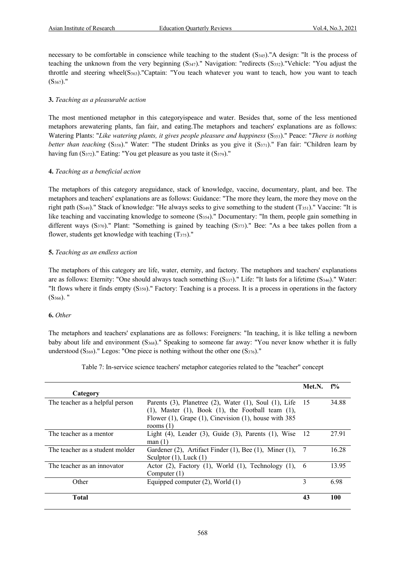necessary to be comfortable in conscience while teaching to the student (S345)."A design: "It is the process of teaching the unknown from the very beginning (S347)." Navigation: "redirects (S352)."Vehicle: "You adjust the throttle and steering wheel(S363)."Captain: "You teach whatever you want to teach, how you want to teach  $(S_{367})$ ."

# **3.** *Teaching as a pleasurable action*

The most mentioned metaphor in this categoryispeace and water. Besides that, some of the less mentioned metaphors arewatering plants, fan fair, and eating.The metaphors and teachers' explanations are as follows: Watering Plants: "Like watering plants, it gives people pleasure and happiness (S<sub>353</sub>)." Peace: "There is nothing *better than teaching* (S<sub>358</sub>)." Water: "The student Drinks as you give it (S<sub>371</sub>)." Fan fair: "Children learn by having fun  $(S_{372})$ ." Eating: "You get pleasure as you taste it  $(S_{379})$ ."

# **4.** *Teaching as a beneficial action*

The metaphors of this category areguidance, stack of knowledge, vaccine, documentary, plant, and bee. The metaphors and teachers' explanations are as follows: Guidance: "The more they learn, the more they move on the right path (S349)." Stack of knowledge: "He always seeks to give something to the student (T351)." Vaccine: "It is like teaching and vaccinating knowledge to someone (S<sub>354</sub>)." Documentary: "In them, people gain something in different ways (S370)." Plant: "Something is gained by teaching (S373)." Bee: "As a bee takes pollen from a flower, students get knowledge with teaching  $(T_{375})$ ."

# **5.** *Teaching as an endless action*

The metaphors of this category are life, water, eternity, and factory. The metaphors and teachers' explanations are as follows: Eternity: "One should always teach something  $(S_{337})$ ." Life: "It lasts for a lifetime  $(S_{346})$ ." Water: "It flows where it finds empty (S350)." Factory: Teaching is a process. It is a process in operations in the factory  $(S_{366})$ . "

# **6.** *Other*

The metaphors and teachers' explanations are as follows: Foreigners: "In teaching, it is like telling a newborn baby about life and environment (S368)." Speaking to someone far away: "You never know whether it is fully understood  $(S_{369})$ ." Legos: "One piece is nothing without the other one  $(S_{376})$ ."

Table 7: In-service science teachers' metaphor categories related to the "teacher" concept

|                                 |                                                                      | Met.N.        | $f\%$ |
|---------------------------------|----------------------------------------------------------------------|---------------|-------|
| Category                        |                                                                      |               |       |
| The teacher as a helpful person | Parents $(3)$ , Planetree $(2)$ , Water $(1)$ , Soul $(1)$ , Life 15 |               | 34.88 |
|                                 | $(1)$ , Master $(1)$ , Book $(1)$ , the Football team $(1)$ ,        |               |       |
|                                 | Flower $(1)$ , Grape $(1)$ , Cinevision $(1)$ , house with 385       |               |       |
|                                 | rooms $(1)$                                                          |               |       |
| The teacher as a mentor         | Light (4), Leader (3), Guide (3), Parents (1), Wise                  | 12            | 27.91 |
|                                 | man(1)                                                               |               |       |
| The teacher as a student molder | Gardener (2), Artifact Finder (1), Bee (1), Miner (1),               | -7            | 16.28 |
|                                 | Sculptor $(1)$ , Luck $(1)$                                          |               |       |
| The teacher as an innovator     | Actor $(2)$ , Factory $(1)$ , World $(1)$ , Technology $(1)$ ,       | 6             | 13.95 |
|                                 | Computer $(1)$                                                       |               |       |
| Other                           | Equipped computer $(2)$ , World $(1)$                                | $\mathcal{F}$ | 6.98  |
|                                 |                                                                      |               |       |
| <b>Total</b>                    |                                                                      | 43            | 100   |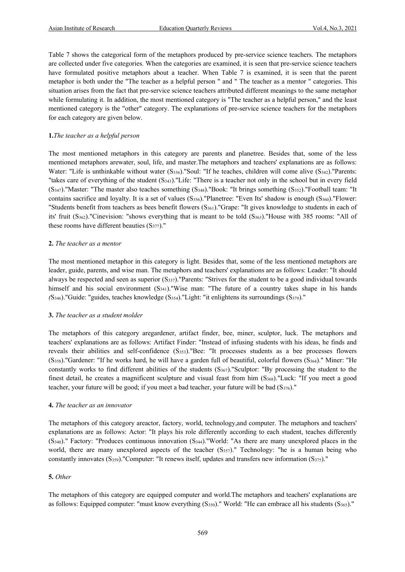Table 7 shows the categorical form of the metaphors produced by pre-service science teachers. The metaphors are collected under five categories. When the categories are examined, it is seen that pre-service science teachers have formulated positive metaphors about a teacher. When Table 7 is examined, it is seen that the parent metaphor is both under the "The teacher as a helpful person " and " The teacher as a mentor " categories. This situation arises from the fact that pre-service science teachers attributed different meanings to the same metaphor while formulating it. In addition, the most mentioned category is "The teacher as a helpful person," and the least mentioned category is the "other" category. The explanations of pre-service science teachers for the metaphors for each category are given below.

### **1.***The teacher as a helpful person*

The most mentioned metaphors in this category are parents and planetree. Besides that, some of the less mentioned metaphors arewater, soul, life, and master.The metaphors and teachers' explanations are as follows: Water: "Life is unthinkable without water  $(S_{336})$ ."Soul: "If he teaches, children will come alive  $(S_{342})$ ."Parents: "takes care of everything of the student (S343)."Life: "There is a teacher not only in the school but in every field (S347)."Master: "The master also teaches something (S348)."Book: "It brings something (S352)."Football team: "It contains sacrifice and loyalty. It is a set of values (S<sub>356</sub>)."Planetree: "Even Its' shadow is enough (S<sub>360</sub>)."Flower: "Students benefit from teachers as bees benefit flowers  $(S_{361})$ ."Grape: "It gives knowledge to students in each of its' fruit  $(S_{362})$ ."Cinevision: "shows everything that is meant to be told  $(S_{363})$ ."House with 385 rooms: "All of these rooms have different beauties (S377)."

#### **2.** *The teacher as a mentor*

The most mentioned metaphor in this category is light. Besides that, some of the less mentioned metaphors are leader, guide, parents, and wise man. The metaphors and teachers' explanations are as follows: Leader: "It should always be respected and seen as superior (S337)."Parents: "Strives for the student to be a good individual towards himself and his social environment (S341)."Wise man: "The future of a country takes shape in his hands *(*S346)."Guide: "guides, teaches knowledge (S354)."Light: "it enlightens its surroundings (S379)."

#### **3.** *The teacher as a student molder*

The metaphors of this category aregardener, artifact finder, bee, miner, sculptor, luck. The metaphors and teachers' explanations are as follows: Artifact Finder: "Instead of infusing students with his ideas, he finds and reveals their abilities and self-confidence (S353)."Bee: "It processes students as a bee processes flowers (S358)."Gardener: "If he works hard, he will have a garden full of beautiful, colorful flowers (S364)." Miner: "He constantly works to find different abilities of the students  $(S_{367})$ ."Sculptor: "By processing the student to the finest detail, he creates a magnificent sculpture and visual feast from him (S368)."Luck: "If you meet a good teacher, your future will be good; if you meet a bad teacher, your future will be bad (S376)."

#### **4.** *The teacher as an innovator*

The metaphors of this category areactor, factory, world, technology,and computer. The metaphors and teachers' explanations are as follows: Actor: "It plays his role differently according to each student, teaches differently (S340)." Factory: "Produces continuous innovation (S344)."World: "As there are many unexplored places in the world, there are many unexplored aspects of the teacher (S357)." Technology: "he is a human being who constantly innovates (S359)."Computer: "It renews itself, updates and transfers new information (S375)."

#### **5.** *Other*

The metaphors of this category are equipped computer and world.The metaphors and teachers' explanations are as follows: Equipped computer: "must know everything (S350)." World: "He can embrace all his students (S365)."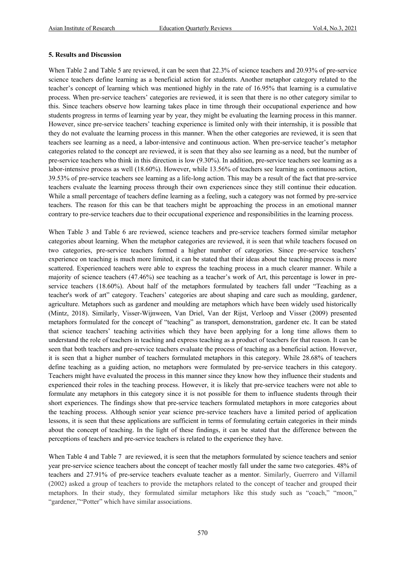#### **5. Results and Discussion**

When Table 2 and Table 5 are reviewed, it can be seen that 22.3% of science teachers and 20.93% of pre-service science teachers define learning as a beneficial action for students. Another metaphor category related to the teacher's concept of learning which was mentioned highly in the rate of 16.95% that learning is a cumulative process. When pre-service teachers' categories are reviewed, it is seen that there is no other category similar to this. Since teachers observe how learning takes place in time through their occupational experience and how students progress in terms of learning year by year, they might be evaluating the learning process in this manner. However, since pre-service teachers' teaching experience is limited only with their internship, it is possible that they do not evaluate the learning process in this manner. When the other categories are reviewed, it is seen that teachers see learning as a need, a labor-intensive and continuous action. When pre-service teacher's metaphor categories related to the concept are reviewed, it is seen that they also see learning as a need, but the number of pre-service teachers who think in this direction is low (9.30%). In addition, pre-service teachers see learning as a labor-intensive process as well (18.60%). However, while 13.56% of teachers see learning as continuous action, 39.53% of pre-service teachers see learning as a life-long action. This may be a result of the fact that pre-service teachers evaluate the learning process through their own experiences since they still continue their education. While a small percentage of teachers define learning as a feeling, such a category was not formed by pre-service teachers. The reason for this can be that teachers might be approaching the process in an emotional manner contrary to pre-service teachers due to their occupational experience and responsibilities in the learning process.

When Table 3 and Table 6 are reviewed, science teachers and pre-service teachers formed similar metaphor categories about learning. When the metaphor categories are reviewed, it is seen that while teachers focused on two categories, pre-service teachers formed a higher number of categories. Since pre-service teachers' experience on teaching is much more limited, it can be stated that their ideas about the teaching process is more scattered. Experienced teachers were able to express the teaching process in a much clearer manner. While a majority of science teachers (47.46%) see teaching as a teacher's work of Art, this percentage is lower in preservice teachers (18.60%). About half of the metaphors formulated by teachers fall under "Teaching as a teacher's work of art" category. Teachers' categories are about shaping and care such as moulding, gardener, agriculture. Metaphors such as gardener and moulding are metaphors which have been widely used historically (Mintz, 2018). Similarly, Visser-Wijnween, Van Driel, Van der Rijst, Verloop and Visser (2009) presented metaphors formulated for the concept of "teaching" as transport, demonstration, gardener etc. It can be stated that science teachers' teaching activities which they have been applying for a long time allows them to understand the role of teachers in teaching and express teaching as a product of teachers for that reason. It can be seen that both teachers and pre-service teachers evaluate the process of teaching as a beneficial action. However, it is seen that a higher number of teachers formulated metaphors in this category. While 28.68% of teachers define teaching as a guiding action, no metaphors were formulated by pre-service teachers in this category. Teachers might have evaluated the process in this manner since they know how they influence their students and experienced their roles in the teaching process. However, it is likely that pre-service teachers were not able to formulate any metaphors in this category since it is not possible for them to influence students through their short experiences. The findings show that pre-service teachers formulated metaphors in more categories about the teaching process. Although senior year science pre-service teachers have a limited period of application lessons, it is seen that these applications are sufficient in terms of formulating certain categories in their minds about the concept of teaching. In the light of these findings, it can be stated that the difference between the perceptions of teachers and pre-service teachers is related to the experience they have.

When Table 4 and Table 7 are reviewed, it is seen that the metaphors formulated by science teachers and senior year pre-service science teachers about the concept of teacher mostly fall under the same two categories. 48% of teachers and 27.91% of pre-service teachers evaluate teacher as a mentor. Similarly, Guerrero and Villamil (2002) asked a group of teachers to provide the metaphors related to the concept of teacher and grouped their metaphors. In their study, they formulated similar metaphors like this study such as "coach," "moon," "gardener,""Potter" which have similar associations.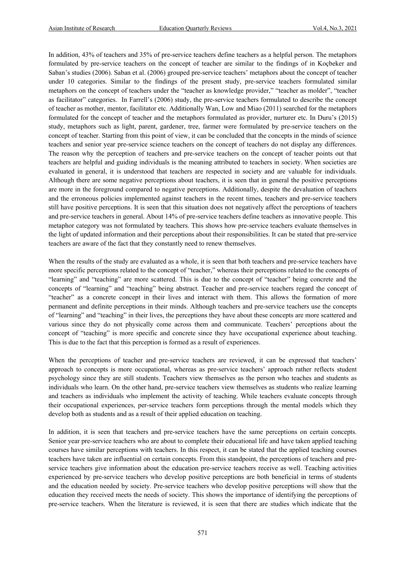In addition, 43% of teachers and 35% of pre-service teachers define teachers as a helpful person. The metaphors formulated by pre-service teachers on the concept of teacher are similar to the findings of in Koçbeker and Saban's studies (2006). Saban et al. (2006) grouped pre-service teachers' metaphors about the concept of teacher under 10 categories. Similar to the findings of the present study, pre-service teachers formulated similar metaphors on the concept of teachers under the "teacher as knowledge provider," "teacher as molder", "teacher as facilitator" categories. In Farrell's (2006) study, the pre-service teachers formulated to describe the concept of teacher as mother, mentor, facilitator etc. Additionally Wan, Low and Miao (2011) searched for the metaphors formulated for the concept of teacher and the metaphors formulated as provider, nurturer etc. In Duru's (2015) study, metaphors such as light, parent, gardener, tree, farmer were formulated by pre-service teachers on the concept of teacher. Starting from this point of view, it can be concluded that the concepts in the minds of science teachers and senior year pre-service science teachers on the concept of teachers do not display any differences. The reason why the perception of teachers and pre-service teachers on the concept of teacher points out that teachers are helpful and guiding individuals is the meaning attributed to teachers in society. When societies are evaluated in general, it is understood that teachers are respected in society and are valuable for individuals. Although there are some negative perceptions about teachers, it is seen that in general the positive perceptions are more in the foreground compared to negative perceptions. Additionally, despite the devaluation of teachers and the erroneous policies implemented against teachers in the recent times, teachers and pre-service teachers still have positive perceptions. It is seen that this situation does not negatively affect the perceptions of teachers and pre-service teachers in general. About 14% of pre-service teachers define teachers as innovative people. This metaphor category was not formulated by teachers. This shows how pre-service teachers evaluate themselves in the light of updated information and their perceptions about their responsibilities. It can be stated that pre-service teachers are aware of the fact that they constantly need to renew themselves.

When the results of the study are evaluated as a whole, it is seen that both teachers and pre-service teachers have more specific perceptions related to the concept of "teacher," whereas their perceptions related to the concepts of "learning" and "teaching" are more scattered. This is due to the concept of "teacher" being concrete and the concepts of "learning" and "teaching" being abstract. Teacher and pre-service teachers regard the concept of "teacher" as a concrete concept in their lives and interact with them. This allows the formation of more permanent and definite perceptions in their minds. Although teachers and pre-service teachers use the concepts of "learning" and "teaching" in their lives, the perceptions they have about these concepts are more scattered and various since they do not physically come across them and communicate. Teachers' perceptions about the concept of "teaching" is more specific and concrete since they have occupational experience about teaching. This is due to the fact that this perception is formed as a result of experiences.

When the perceptions of teacher and pre-service teachers are reviewed, it can be expressed that teachers' approach to concepts is more occupational, whereas as pre-service teachers' approach rather reflects student psychology since they are still students. Teachers view themselves as the person who teaches and students as individuals who learn. On the other hand, pre-service teachers view themselves as students who realize learning and teachers as individuals who implement the activity of teaching. While teachers evaluate concepts through their occupational experiences, per-service teachers form perceptions through the mental models which they develop both as students and as a result of their applied education on teaching.

In addition, it is seen that teachers and pre-service teachers have the same perceptions on certain concepts. Senior year pre-service teachers who are about to complete their educational life and have taken applied teaching courses have similar perceptions with teachers. In this respect, it can be stated that the applied teaching courses teachers have taken are influential on certain concepts. From this standpoint, the perceptions of teachers and preservice teachers give information about the education pre-service teachers receive as well. Teaching activities experienced by pre-service teachers who develop positive perceptions are both beneficial in terms of students and the education needed by society. Pre-service teachers who develop positive perceptions will show that the education they received meets the needs of society. This shows the importance of identifying the perceptions of pre-service teachers. When the literature is reviewed, it is seen that there are studies which indicate that the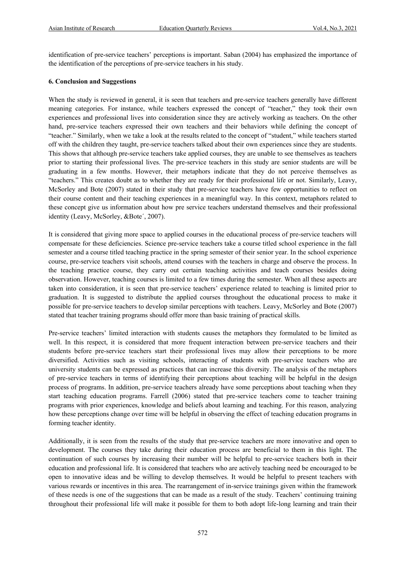identification of pre-service teachers' perceptions is important. Saban (2004) has emphasized the importance of the identification of the perceptions of pre-service teachers in his study.

# **6. Conclusion and Suggestions**

When the study is reviewed in general, it is seen that teachers and pre-service teachers generally have different meaning categories. For instance, while teachers expressed the concept of "teacher," they took their own experiences and professional lives into consideration since they are actively working as teachers. On the other hand, pre-service teachers expressed their own teachers and their behaviors while defining the concept of "teacher." Similarly, when we take a look at the results related to the concept of "student," while teachers started off with the children they taught, pre-service teachers talked about their own experiences since they are students. This shows that although pre-service teachers take applied courses, they are unable to see themselves as teachers prior to starting their professional lives. The pre-service teachers in this study are senior students are will be graduating in a few months. However, their metaphors indicate that they do not perceive themselves as "teachers." This creates doubt as to whether they are ready for their professional life or not. Similarly, Leavy, McSorley and Bote (2007) stated in their study that pre-service teachers have few opportunities to reflect on their course content and their teaching experiences in a meaningful way. In this context, metaphors related to these concept give us information about how pre service teachers understand themselves and their professional identity (Leavy, McSorley, &Bote´, 2007).

It is considered that giving more space to applied courses in the educational process of pre-service teachers will compensate for these deficiencies. Science pre-service teachers take a course titled school experience in the fall semester and a course titled teaching practice in the spring semester of their senior year. In the school experience course, pre-service teachers visit schools, attend courses with the teachers in charge and observe the process. In the teaching practice course, they carry out certain teaching activities and teach courses besides doing observation. However, teaching courses is limited to a few times during the semester. When all these aspects are taken into consideration, it is seen that pre-service teachers' experience related to teaching is limited prior to graduation. It is suggested to distribute the applied courses throughout the educational process to make it possible for pre-service teachers to develop similar perceptions with teachers. Leavy, McSorley and Bote (2007) stated that teacher training programs should offer more than basic training of practical skills.

Pre-service teachers' limited interaction with students causes the metaphors they formulated to be limited as well. In this respect, it is considered that more frequent interaction between pre-service teachers and their students before pre-service teachers start their professional lives may allow their perceptions to be more diversified. Activities such as visiting schools, interacting of students with pre-service teachers who are university students can be expressed as practices that can increase this diversity. The analysis of the metaphors of pre-service teachers in terms of identifying their perceptions about teaching will be helpful in the design process of programs. In addition, pre-service teachers already have some perceptions about teaching when they start teaching education programs. Farrell (2006) stated that pre-service teachers come to teacher training programs with prior experiences, knowledge and beliefs about learning and teaching. For this reason, analyzing how these perceptions change over time will be helpful in observing the effect of teaching education programs in forming teacher identity.

Additionally, it is seen from the results of the study that pre-service teachers are more innovative and open to development. The courses they take during their education process are beneficial to them in this light. The continuation of such courses by increasing their number will be helpful to pre-service teachers both in their education and professional life. It is considered that teachers who are actively teaching need be encouraged to be open to innovative ideas and be willing to develop themselves. It would be helpful to present teachers with various rewards or incentives in this area. The rearrangement of in-service trainings given within the framework of these needs is one of the suggestions that can be made as a result of the study. Teachers' continuing training throughout their professional life will make it possible for them to both adopt life-long learning and train their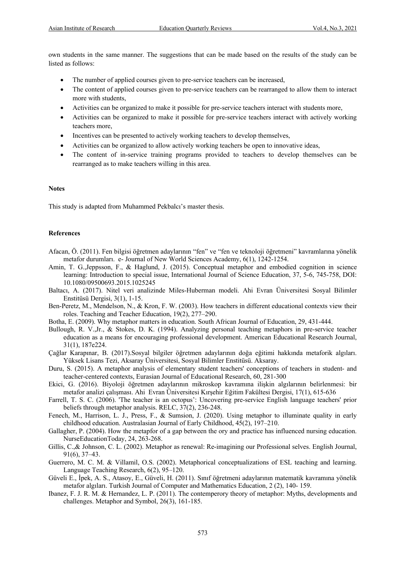own students in the same manner. The suggestions that can be made based on the results of the study can be listed as follows:

- The number of applied courses given to pre-service teachers can be increased.
- The content of applied courses given to pre-service teachers can be rearranged to allow them to interact more with students,
- Activities can be organized to make it possible for pre-service teachers interact with students more,
- Activities can be organized to make it possible for pre-service teachers interact with actively working teachers more,
- Incentives can be presented to actively working teachers to develop themselves,
- Activities can be organized to allow actively working teachers be open to innovative ideas,
- The content of in-service training programs provided to teachers to develop themselves can be rearranged as to make teachers willing in this area.

#### **Notes**

This study is adapted from Muhammed Pekbalcı's master thesis.

#### **References**

- Afacan, Ö. (2011). Fen bilgisi öğretmen adaylarının "fen" ve "fen ve teknoloji öğretmeni" kavramlarına yönelik metafor durumları. e- Journal of New World Sciences Academy, 6(1), 1242-1254.
- Amin, T. G.,Jeppsson, F., & Haglund, J. (2015). Conceptual metaphor and embodied cognition in science learning: Introduction to special issue, International Journal of Science Education, 37, 5-6, 745-758, DOI: 10.1080/09500693.2015.1025245
- Baltacı, A. (2017). Nitel veri analizinde Miles-Huberman modeli. Ahi Evran Üniversitesi Sosyal Bilimler Enstitüsü Dergisi, 3(1), 1-15.
- Ben-Peretz, M., Mendelson, N., & Kron, F. W. (2003). How teachers in different educational contexts view their roles. Teaching and Teacher Education, 19(2), 277–290.
- Botha, E. (2009). Why metaphor matters in education. South African Journal of Education, 29, 431-444.
- Bullough, R. V.,Jr., & Stokes, D. K. (1994). Analyzing personal teaching metaphors in pre-service teacher education as a means for encouraging professional development. American Educational Research Journal, 31(1), 187e224.
- Çağlar Karapınar, B. (2017).Sosyal bilgiler öğretmen adaylarının doğa eğitimi hakkında metaforik algıları. Yüksek Lisans Tezi, Aksaray Üniversitesi, Sosyal Bilimler Enstitüsü. Aksaray.
- Duru, S. (2015). A metaphor analysis of elementary student teachers' conceptions of teachers in student- and teacher-centered contexts, Eurasian Journal of Educational Research, 60, 281-300
- Ekici, G. (2016). Biyoloji öğretmen adaylarının mikroskop kavramına ilişkin algılarının belirlenmesi: bir metafor analizi çalışması. Ahi Evran Üniversitesi Kırşehir Eğitim Fakültesi Dergisi, 17(1), 615-636
- Farrell, T. S. C. (2006). 'The teacher is an octopus': Uncovering pre-service English language teachers' prior beliefs through metaphor analysis. RELC, 37(2), 236-248.
- Fenech, M., Harrison, L. J., Press, F., & Sumsion, J. (2020). Using metaphor to illuminate quality in early childhood education. Australasian Journal of Early Childhood, 45(2), 197–210.
- Gallagher, P. (2004). How the metapfor of a gap between the ory and practice has influenced nursing education. NurseEducationToday, 24, 263-268.
- Gillis, C.,& Johnson, C. L. (2002). Metaphor as renewal: Re-imagining our Professional selves. English Journal, 91(6), 37–43.
- Guerrero, M. C. M. & Villamil, O.S. (2002). Metaphorical conceptualizations of ESL teaching and learning. Language Teaching Research, 6(2), 95–120.
- Güveli E., İpek, A. S., Atasoy, E., Güveli, H. (2011). Sınıf öğretmeni adaylarının matematik kavramına yönelik metafor algıları. Turkish Journal of Computer and Mathematics Education, 2 (2), 140- 159.
- Ibanez, F. J. R. M. & Hernandez, L. P. (2011). The contemperory theory of metaphor: Myths, developments and challenges. Metaphor and Symbol, 26(3), 161-185.